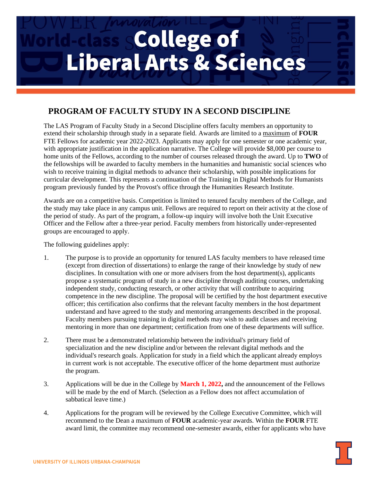## **Lass College of Liberal Arts & Sciences**

## **PROGRAM OF FACULTY STUDY IN A SECOND DISCIPLINE**

The LAS Program of Faculty Study in a Second Discipline offers faculty members an opportunity to extend their scholarship through study in a separate field. Awards are limited to a maximum of **FOUR**  FTE Fellows for academic year 2022-2023. Applicants may apply for one semester or one academic year, with appropriate justification in the application narrative. The College will provide \$8,000 per course to home units of the Fellows, according to the number of courses released through the award. Up to **TWO** of the fellowships will be awarded to faculty members in the humanities and humanistic social sciences who wish to receive training in digital methods to advance their scholarship, with possible implications for curricular development. This represents a continuation of the Training in Digital Methods for Humanists program previously funded by the Provost's office through the Humanities Research Institute.

Awards are on a competitive basis. Competition is limited to tenured faculty members of the College, and the study may take place in any campus unit. Fellows are required to report on their activity at the close of the period of study. As part of the program, a follow-up inquiry will involve both the Unit Executive Officer and the Fellow after a three-year period. Faculty members from historically under-represented groups are encouraged to apply.

The following guidelines apply:

- 1. The purpose is to provide an opportunity for tenured LAS faculty members to have released time (except from direction of dissertations) to enlarge the range of their knowledge by study of new disciplines. In consultation with one or more advisers from the host department(s), applicants propose a systematic program of study in a new discipline through auditing courses, undertaking independent study, conducting research, or other activity that will contribute to acquiring competence in the new discipline. The proposal will be certified by the host department executive officer; this certification also confirms that the relevant faculty members in the host department understand and have agreed to the study and mentoring arrangements described in the proposal. Faculty members pursuing training in digital methods may wish to audit classes and receiving mentoring in more than one department; certification from one of these departments will suffice.
- 2. There must be a demonstrated relationship between the individual's primary field of specialization and the new discipline and/or between the relevant digital methods and the individual's research goals. Application for study in a field which the applicant already employs in current work is not acceptable. The executive officer of the home department must authorize the program.
- 3. Applications will be due in the College by **March 1, 2022,** and the announcement of the Fellows will be made by the end of March. (Selection as a Fellow does not affect accumulation of sabbatical leave time.)
- 4. Applications for the program will be reviewed by the College Executive Committee, which will recommend to the Dean a maximum of **FOUR** academic-year awards. Within the **FOUR** FTE award limit, the committee may recommend one-semester awards, either for applicants who have